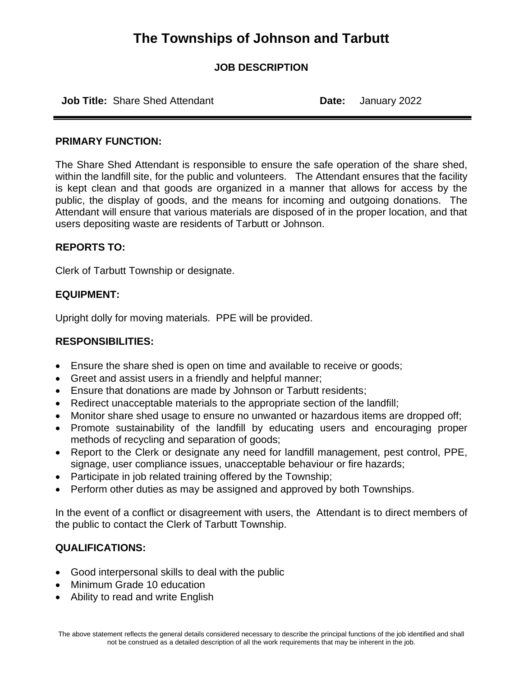## **The Townships of Johnson and Tarbutt**

### **JOB DESCRIPTION**

**Job Title:** Share Shed Attendant **Date:** January 2022

#### **PRIMARY FUNCTION:**

The Share Shed Attendant is responsible to ensure the safe operation of the share shed, within the landfill site, for the public and volunteers. The Attendant ensures that the facility is kept clean and that goods are organized in a manner that allows for access by the public, the display of goods, and the means for incoming and outgoing donations. The Attendant will ensure that various materials are disposed of in the proper location, and that users depositing waste are residents of Tarbutt or Johnson.

#### **REPORTS TO:**

Clerk of Tarbutt Township or designate.

### **EQUIPMENT:**

Upright dolly for moving materials. PPE will be provided.

### **RESPONSIBILITIES:**

- Ensure the share shed is open on time and available to receive or goods;
- Greet and assist users in a friendly and helpful manner;
- Ensure that donations are made by Johnson or Tarbutt residents;
- Redirect unacceptable materials to the appropriate section of the landfill;
- Monitor share shed usage to ensure no unwanted or hazardous items are dropped off;
- Promote sustainability of the landfill by educating users and encouraging proper methods of recycling and separation of goods;
- Report to the Clerk or designate any need for landfill management, pest control, PPE, signage, user compliance issues, unacceptable behaviour or fire hazards;
- Participate in job related training offered by the Township;
- Perform other duties as may be assigned and approved by both Townships.

In the event of a conflict or disagreement with users, the Attendant is to direct members of the public to contact the Clerk of Tarbutt Township.

### **QUALIFICATIONS:**

- Good interpersonal skills to deal with the public
- Minimum Grade 10 education
- Ability to read and write English